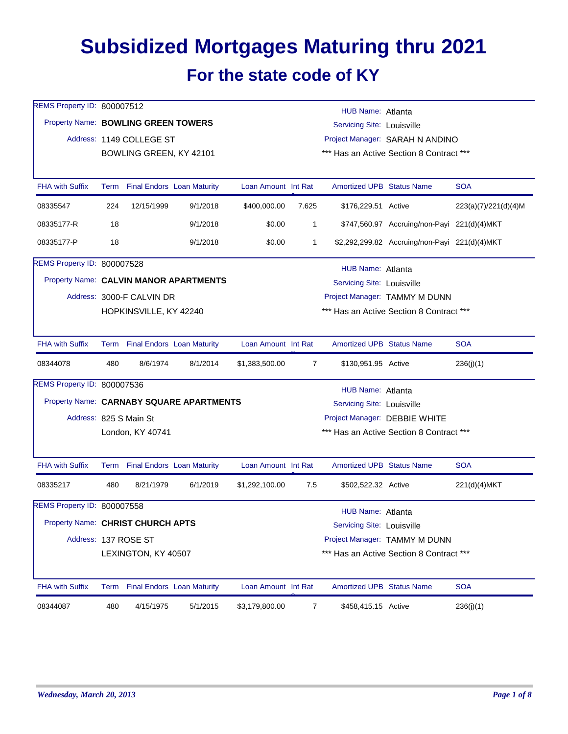## **Subsidized Mortgages Maturing thru 2021 For the state code of KY**

| REMS Property ID: 800007512         |     |                           |                                          |                     |                | <b>HUB Name: Atlanta</b>          |                                               |                      |  |  |  |
|-------------------------------------|-----|---------------------------|------------------------------------------|---------------------|----------------|-----------------------------------|-----------------------------------------------|----------------------|--|--|--|
| Property Name: BOWLING GREEN TOWERS |     |                           |                                          |                     |                | Servicing Site: Louisville        |                                               |                      |  |  |  |
|                                     |     | Address: 1149 COLLEGE ST  |                                          |                     |                | Project Manager: SARAH N ANDINO   |                                               |                      |  |  |  |
|                                     |     | BOWLING GREEN, KY 42101   |                                          |                     |                |                                   | *** Has an Active Section 8 Contract ***      |                      |  |  |  |
|                                     |     |                           |                                          |                     |                |                                   |                                               |                      |  |  |  |
| <b>FHA with Suffix</b>              |     |                           | Term Final Endors Loan Maturity          | Loan Amount Int Rat |                | <b>Amortized UPB Status Name</b>  |                                               | <b>SOA</b>           |  |  |  |
| 08335547                            | 224 | 12/15/1999                | 9/1/2018                                 | \$400,000.00        | 7.625          | \$176,229.51 Active               |                                               | 223(a)(7)/221(d)(4)M |  |  |  |
| 08335177-R                          | 18  |                           | 9/1/2018                                 | \$0.00              | 1              |                                   | \$747,560.97 Accruing/non-Payi 221(d)(4)MKT   |                      |  |  |  |
| 08335177-P                          | 18  |                           | 9/1/2018                                 | \$0.00              | 1              |                                   | \$2,292,299.82 Accruing/non-Payi 221(d)(4)MKT |                      |  |  |  |
| REMS Property ID: 800007528         |     |                           |                                          |                     |                | HUB Name: Atlanta                 |                                               |                      |  |  |  |
|                                     |     |                           | Property Name: CALVIN MANOR APARTMENTS   |                     |                | <b>Servicing Site: Louisville</b> |                                               |                      |  |  |  |
|                                     |     | Address: 3000-F CALVIN DR |                                          |                     |                |                                   | Project Manager: TAMMY M DUNN                 |                      |  |  |  |
|                                     |     | HOPKINSVILLE, KY 42240    |                                          |                     |                |                                   | *** Has an Active Section 8 Contract ***      |                      |  |  |  |
| <b>FHA with Suffix</b>              |     |                           | Term Final Endors Loan Maturity          | Loan Amount Int Rat |                | <b>Amortized UPB Status Name</b>  |                                               | <b>SOA</b>           |  |  |  |
| 08344078                            | 480 | 8/6/1974                  | 8/1/2014                                 | \$1,383,500.00      | $\overline{7}$ | \$130,951.95 Active               |                                               | 236(j)(1)            |  |  |  |
| REMS Property ID: 800007536         |     |                           |                                          |                     |                | HUB Name: Atlanta                 |                                               |                      |  |  |  |
|                                     |     |                           | Property Name: CARNABY SQUARE APARTMENTS |                     |                | Servicing Site: Louisville        |                                               |                      |  |  |  |
|                                     |     | Address: 825 S Main St    |                                          |                     |                |                                   | Project Manager: DEBBIE WHITE                 |                      |  |  |  |
|                                     |     | London, KY 40741          |                                          |                     |                |                                   | *** Has an Active Section 8 Contract ***      |                      |  |  |  |
|                                     |     |                           |                                          |                     |                |                                   |                                               |                      |  |  |  |
| <b>FHA with Suffix</b>              |     |                           | Term Final Endors Loan Maturity          | Loan Amount Int Rat |                | <b>Amortized UPB Status Name</b>  |                                               | <b>SOA</b>           |  |  |  |
| 08335217                            | 480 | 8/21/1979                 | 6/1/2019                                 | \$1,292,100.00      | 7.5            | \$502,522.32 Active               |                                               | 221(d)(4)MKT         |  |  |  |
| REMS Property ID: 800007558         |     |                           |                                          |                     |                | HUB Name: Atlanta                 |                                               |                      |  |  |  |
| Property Name: CHRIST CHURCH APTS   |     |                           |                                          |                     |                | Servicing Site: Louisville        |                                               |                      |  |  |  |
|                                     |     | Address: 137 ROSE ST      |                                          |                     |                |                                   | Project Manager: TAMMY M DUNN                 |                      |  |  |  |
|                                     |     | LEXINGTON, KY 40507       |                                          |                     |                |                                   | *** Has an Active Section 8 Contract ***      |                      |  |  |  |
| <b>FHA with Suffix</b>              |     |                           | Term Final Endors Loan Maturity          | Loan Amount Int Rat |                | <b>Amortized UPB Status Name</b>  |                                               | <b>SOA</b>           |  |  |  |
| 08344087                            | 480 | 4/15/1975                 | 5/1/2015                                 | \$3,179,800.00      | $\overline{7}$ | \$458,415.15 Active               |                                               | 236(j)(1)            |  |  |  |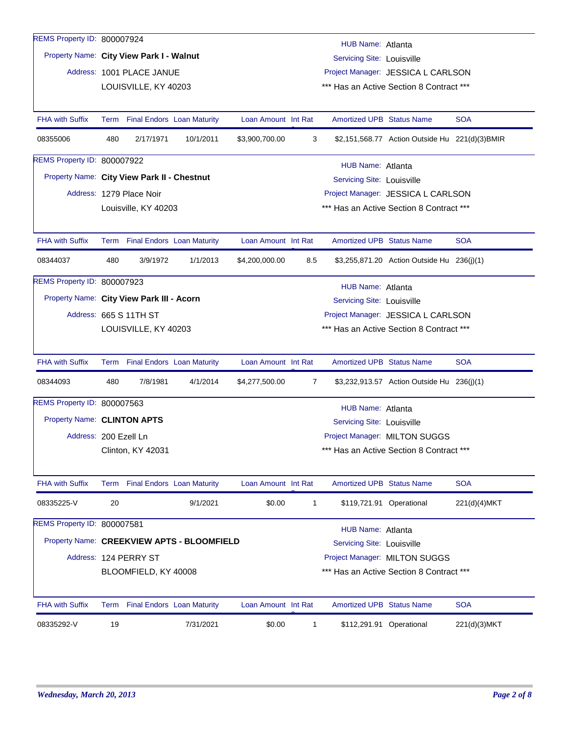| REMS Property ID: 800007924                 |                                                                                             |                           |                                   |                     |                                                                                |                                    |                                                |              |  |  |
|---------------------------------------------|---------------------------------------------------------------------------------------------|---------------------------|-----------------------------------|---------------------|--------------------------------------------------------------------------------|------------------------------------|------------------------------------------------|--------------|--|--|
|                                             | HUB Name: Atlanta<br>Property Name: City View Park I - Walnut<br>Servicing Site: Louisville |                           |                                   |                     |                                                                                |                                    |                                                |              |  |  |
|                                             |                                                                                             | Address: 1001 PLACE JANUE |                                   |                     |                                                                                |                                    |                                                |              |  |  |
|                                             |                                                                                             | LOUISVILLE, KY 40203      |                                   |                     | Project Manager: JESSICA L CARLSON<br>*** Has an Active Section 8 Contract *** |                                    |                                                |              |  |  |
|                                             |                                                                                             |                           |                                   |                     |                                                                                |                                    |                                                |              |  |  |
| <b>FHA with Suffix</b>                      | Term                                                                                        |                           | <b>Final Endors Loan Maturity</b> | Loan Amount Int Rat |                                                                                | <b>Amortized UPB Status Name</b>   |                                                | <b>SOA</b>   |  |  |
| 08355006                                    | 480                                                                                         | 2/17/1971                 | 10/1/2011                         | \$3,900,700.00      | 3                                                                              |                                    | \$2,151,568.77 Action Outside Hu 221(d)(3)BMIR |              |  |  |
| REMS Property ID: 800007922                 |                                                                                             |                           |                                   |                     |                                                                                | HUB Name: Atlanta                  |                                                |              |  |  |
| Property Name: City View Park II - Chestnut |                                                                                             |                           |                                   |                     |                                                                                | Servicing Site: Louisville         |                                                |              |  |  |
|                                             |                                                                                             | Address: 1279 Place Noir  |                                   |                     |                                                                                |                                    | Project Manager: JESSICA L CARLSON             |              |  |  |
|                                             |                                                                                             | Louisville, KY 40203      |                                   |                     |                                                                                |                                    | *** Has an Active Section 8 Contract ***       |              |  |  |
|                                             |                                                                                             |                           |                                   |                     |                                                                                |                                    |                                                |              |  |  |
| <b>FHA with Suffix</b>                      |                                                                                             |                           | Term Final Endors Loan Maturity   | Loan Amount Int Rat |                                                                                | <b>Amortized UPB Status Name</b>   |                                                | <b>SOA</b>   |  |  |
| 08344037                                    | 480                                                                                         | 3/9/1972                  | 1/1/2013                          | \$4,200,000.00      | 8.5                                                                            |                                    | \$3,255,871.20 Action Outside Hu 236(j)(1)     |              |  |  |
| REMS Property ID: 800007923                 |                                                                                             |                           |                                   |                     |                                                                                | HUB Name: Atlanta                  |                                                |              |  |  |
| Property Name: City View Park III - Acorn   |                                                                                             |                           |                                   |                     |                                                                                | <b>Servicing Site: Louisville</b>  |                                                |              |  |  |
|                                             |                                                                                             | Address: 665 S 11TH ST    |                                   |                     |                                                                                | Project Manager: JESSICA L CARLSON |                                                |              |  |  |
|                                             |                                                                                             | LOUISVILLE, KY 40203      |                                   |                     |                                                                                |                                    | *** Has an Active Section 8 Contract ***       |              |  |  |
|                                             |                                                                                             |                           |                                   |                     |                                                                                |                                    |                                                |              |  |  |
| <b>FHA with Suffix</b>                      |                                                                                             |                           | Term Final Endors Loan Maturity   | Loan Amount Int Rat |                                                                                | <b>Amortized UPB Status Name</b>   |                                                | <b>SOA</b>   |  |  |
| 08344093                                    | 480                                                                                         | 7/8/1981                  | 4/1/2014                          | \$4,277,500.00      | 7                                                                              |                                    | \$3,232,913.57 Action Outside Hu 236(j)(1)     |              |  |  |
| REMS Property ID: 800007563                 |                                                                                             |                           |                                   |                     |                                                                                | <b>HUB Name: Atlanta</b>           |                                                |              |  |  |
| Property Name: CLINTON APTS                 |                                                                                             |                           |                                   |                     |                                                                                | Servicing Site: Louisville         |                                                |              |  |  |
| Address: 200 Ezell Ln                       |                                                                                             |                           |                                   |                     |                                                                                |                                    | Project Manager: MILTON SUGGS                  |              |  |  |
|                                             |                                                                                             | Clinton, KY 42031         |                                   |                     |                                                                                |                                    | *** Has an Active Section 8 Contract ***       |              |  |  |
|                                             |                                                                                             |                           |                                   |                     |                                                                                |                                    |                                                |              |  |  |
| <b>FHA with Suffix</b>                      |                                                                                             |                           | Term Final Endors Loan Maturity   | Loan Amount Int Rat |                                                                                | <b>Amortized UPB Status Name</b>   |                                                | <b>SOA</b>   |  |  |
| 08335225-V                                  | 20                                                                                          |                           | 9/1/2021                          | \$0.00              | $\mathbf 1$                                                                    |                                    | \$119,721.91 Operational                       | 221(d)(4)MKT |  |  |
| REMS Property ID: 800007581                 |                                                                                             |                           |                                   |                     |                                                                                | HUB Name: Atlanta                  |                                                |              |  |  |
| Property Name: CREEKVIEW APTS - BLOOMFIELD  |                                                                                             |                           |                                   |                     |                                                                                | Servicing Site: Louisville         |                                                |              |  |  |
|                                             |                                                                                             | Address: 124 PERRY ST     |                                   |                     |                                                                                |                                    | Project Manager: MILTON SUGGS                  |              |  |  |
|                                             |                                                                                             | BLOOMFIELD, KY 40008      |                                   |                     |                                                                                |                                    | *** Has an Active Section 8 Contract ***       |              |  |  |
|                                             |                                                                                             |                           |                                   |                     |                                                                                |                                    |                                                |              |  |  |
| <b>FHA with Suffix</b>                      |                                                                                             |                           | Term Final Endors Loan Maturity   | Loan Amount Int Rat |                                                                                | <b>Amortized UPB Status Name</b>   |                                                | <b>SOA</b>   |  |  |
| 08335292-V                                  | 19                                                                                          |                           | 7/31/2021                         | \$0.00              | $\mathbf 1$                                                                    |                                    | \$112,291.91 Operational                       | 221(d)(3)MKT |  |  |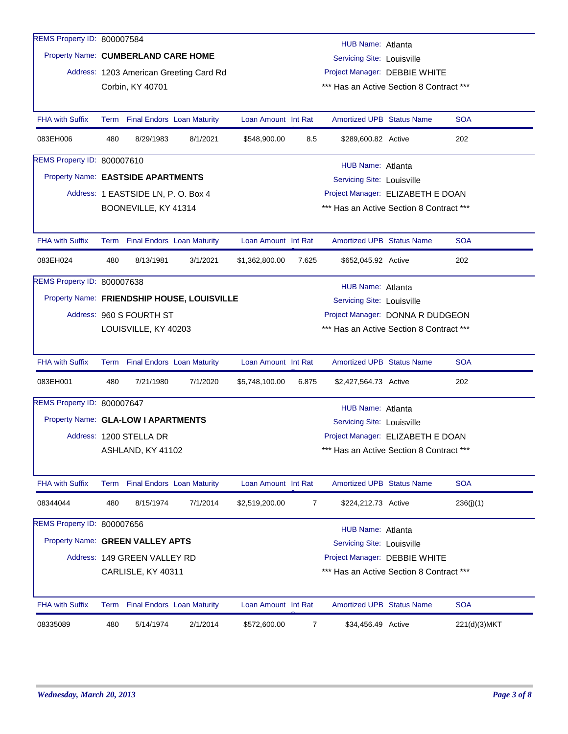| REMS Property ID: 800007584         |     |                                    |                                             |                     |                                  |                                          |  |              |  |
|-------------------------------------|-----|------------------------------------|---------------------------------------------|---------------------|----------------------------------|------------------------------------------|--|--------------|--|
|                                     |     |                                    |                                             |                     |                                  | HUB Name: Atlanta                        |  |              |  |
| Property Name: CUMBERLAND CARE HOME |     |                                    |                                             |                     |                                  | <b>Servicing Site: Louisville</b>        |  |              |  |
|                                     |     |                                    | Address: 1203 American Greeting Card Rd     |                     | Project Manager: DEBBIE WHITE    |                                          |  |              |  |
|                                     |     | Corbin, KY 40701                   |                                             |                     |                                  | *** Has an Active Section 8 Contract *** |  |              |  |
| <b>FHA with Suffix</b>              |     | Term Final Endors Loan Maturity    |                                             | Loan Amount Int Rat |                                  | <b>Amortized UPB Status Name</b>         |  | <b>SOA</b>   |  |
| 083EH006                            | 480 | 8/29/1983                          | 8/1/2021                                    | \$548,900.00        | 8.5                              | \$289,600.82 Active                      |  | 202          |  |
| <b>REMS Property ID: 800007610</b>  |     |                                    |                                             |                     |                                  | HUB Name: Atlanta                        |  |              |  |
| Property Name: EASTSIDE APARTMENTS  |     |                                    |                                             |                     |                                  | Servicing Site: Louisville               |  |              |  |
|                                     |     | Address: 1 EASTSIDE LN, P.O. Box 4 |                                             |                     |                                  | Project Manager: ELIZABETH E DOAN        |  |              |  |
|                                     |     | BOONEVILLE, KY 41314               |                                             |                     |                                  | *** Has an Active Section 8 Contract *** |  |              |  |
|                                     |     |                                    |                                             |                     |                                  |                                          |  |              |  |
| <b>FHA with Suffix</b>              |     | Term Final Endors Loan Maturity    |                                             | Loan Amount Int Rat |                                  | <b>Amortized UPB Status Name</b>         |  | <b>SOA</b>   |  |
| 083EH024                            | 480 | 8/13/1981                          | 3/1/2021                                    | \$1,362,800.00      | 7.625                            | \$652,045.92 Active                      |  | 202          |  |
| REMS Property ID: 800007638         |     |                                    |                                             |                     |                                  | HUB Name: Atlanta                        |  |              |  |
|                                     |     |                                    | Property Name: FRIENDSHIP HOUSE, LOUISVILLE |                     |                                  | <b>Servicing Site: Louisville</b>        |  |              |  |
|                                     |     | Address: 960 S FOURTH ST           |                                             |                     | Project Manager: DONNA R DUDGEON |                                          |  |              |  |
|                                     |     | LOUISVILLE, KY 40203               |                                             |                     |                                  | *** Has an Active Section 8 Contract *** |  |              |  |
|                                     |     |                                    |                                             |                     |                                  |                                          |  |              |  |
| <b>FHA with Suffix</b>              |     | Term Final Endors Loan Maturity    |                                             | Loan Amount Int Rat |                                  | <b>Amortized UPB Status Name</b>         |  | <b>SOA</b>   |  |
| 083EH001                            | 480 | 7/21/1980                          | 7/1/2020                                    | \$5,748,100.00      | 6.875                            | \$2,427,564.73 Active                    |  | 202          |  |
| REMS Property ID: 800007647         |     |                                    |                                             |                     |                                  | <b>HUB Name: Atlanta</b>                 |  |              |  |
| Property Name: GLA-LOW I APARTMENTS |     |                                    |                                             |                     |                                  | Servicing Site: Louisville               |  |              |  |
|                                     |     | Address: 1200 STELLA DR            |                                             |                     |                                  | Project Manager: ELIZABETH E DOAN        |  |              |  |
|                                     |     | ASHLAND, KY 41102                  |                                             |                     |                                  | *** Has an Active Section 8 Contract *** |  |              |  |
|                                     |     |                                    |                                             |                     |                                  |                                          |  |              |  |
| <b>FHA with Suffix</b>              |     | Term Final Endors Loan Maturity    |                                             | Loan Amount Int Rat |                                  | Amortized UPB Status Name                |  | <b>SOA</b>   |  |
| 08344044                            | 480 | 8/15/1974                          | 7/1/2014                                    | \$2,519,200.00      | 7                                | \$224,212.73 Active                      |  | 236(j)(1)    |  |
| REMS Property ID: 800007656         |     |                                    |                                             |                     |                                  | HUB Name: Atlanta                        |  |              |  |
| Property Name: GREEN VALLEY APTS    |     |                                    |                                             |                     |                                  | <b>Servicing Site: Louisville</b>        |  |              |  |
|                                     |     | Address: 149 GREEN VALLEY RD       |                                             |                     |                                  | Project Manager: DEBBIE WHITE            |  |              |  |
|                                     |     | CARLISLE, KY 40311                 |                                             |                     |                                  | *** Has an Active Section 8 Contract *** |  |              |  |
|                                     |     |                                    |                                             |                     |                                  |                                          |  |              |  |
| <b>FHA with Suffix</b>              |     | Term Final Endors Loan Maturity    |                                             | Loan Amount Int Rat |                                  | Amortized UPB Status Name                |  | <b>SOA</b>   |  |
| 08335089                            | 480 | 5/14/1974                          | 2/1/2014                                    | \$572,600.00        | 7                                | \$34,456.49 Active                       |  | 221(d)(3)MKT |  |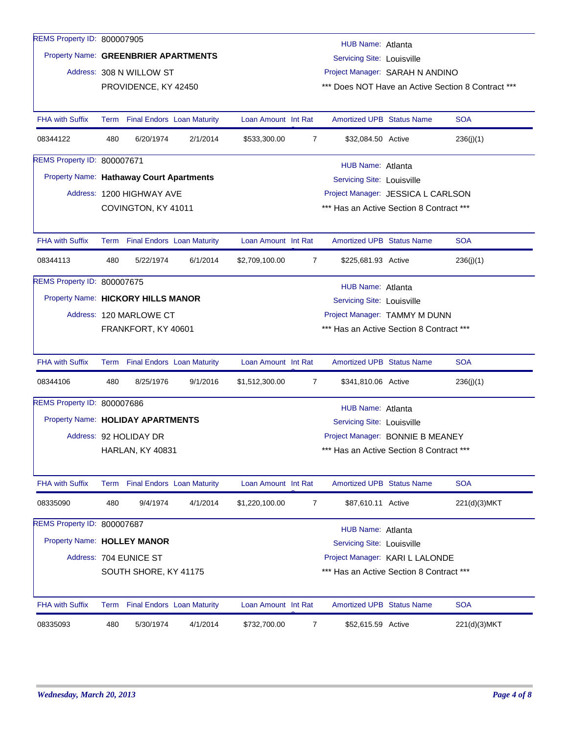| REMS Property ID: 800007905 |     |                                          |          |                     |                | HUB Name: Atlanta                        |                                                    |
|-----------------------------|-----|------------------------------------------|----------|---------------------|----------------|------------------------------------------|----------------------------------------------------|
|                             |     | Property Name: GREENBRIER APARTMENTS     |          |                     |                | <b>Servicing Site: Louisville</b>        |                                                    |
|                             |     | Address: 308 N WILLOW ST                 |          |                     |                | Project Manager: SARAH N ANDINO          |                                                    |
|                             |     | PROVIDENCE, KY 42450                     |          |                     |                |                                          | *** Does NOT Have an Active Section 8 Contract *** |
|                             |     |                                          |          |                     |                |                                          |                                                    |
| <b>FHA with Suffix</b>      |     | Term Final Endors Loan Maturity          |          | Loan Amount Int Rat |                | <b>Amortized UPB Status Name</b>         | <b>SOA</b>                                         |
| 08344122                    | 480 | 6/20/1974                                | 2/1/2014 | \$533,300.00        | $\overline{7}$ | \$32,084.50 Active                       | 236(j)(1)                                          |
| REMS Property ID: 800007671 |     |                                          |          |                     |                | HUB Name: Atlanta                        |                                                    |
|                             |     | Property Name: Hathaway Court Apartments |          |                     |                | <b>Servicing Site: Louisville</b>        |                                                    |
|                             |     | Address: 1200 HIGHWAY AVE                |          |                     |                | Project Manager: JESSICA L CARLSON       |                                                    |
|                             |     | COVINGTON, KY 41011                      |          |                     |                | *** Has an Active Section 8 Contract *** |                                                    |
|                             |     |                                          |          |                     |                |                                          |                                                    |
| <b>FHA with Suffix</b>      |     | Term Final Endors Loan Maturity          |          | Loan Amount Int Rat |                | <b>Amortized UPB Status Name</b>         | <b>SOA</b>                                         |
| 08344113                    | 480 | 5/22/1974                                | 6/1/2014 | \$2,709,100.00      | 7              | \$225,681.93 Active                      | 236(j)(1)                                          |
| REMS Property ID: 800007675 |     |                                          |          |                     |                | HUB Name: Atlanta                        |                                                    |
|                             |     | Property Name: HICKORY HILLS MANOR       |          |                     |                | Servicing Site: Louisville               |                                                    |
|                             |     | Address: 120 MARLOWE CT                  |          |                     |                | Project Manager: TAMMY M DUNN            |                                                    |
|                             |     | FRANKFORT, KY 40601                      |          |                     |                | *** Has an Active Section 8 Contract *** |                                                    |
|                             |     |                                          |          |                     |                |                                          |                                                    |
| <b>FHA with Suffix</b>      |     | Term Final Endors Loan Maturity          |          | Loan Amount Int Rat |                | <b>Amortized UPB Status Name</b>         | <b>SOA</b>                                         |
| 08344106                    | 480 | 8/25/1976                                | 9/1/2016 | \$1,512,300.00      | 7              | \$341,810.06 Active                      | 236(j)(1)                                          |
| REMS Property ID: 800007686 |     |                                          |          |                     |                | HUB Name: Atlanta                        |                                                    |
|                             |     | Property Name: HOLIDAY APARTMENTS        |          |                     |                | Servicing Site: Louisville               |                                                    |
|                             |     | Address: 92 HOLIDAY DR                   |          |                     |                | Project Manager: BONNIE B MEANEY         |                                                    |
|                             |     | HARLAN, KY 40831                         |          |                     |                | *** Has an Active Section 8 Contract *** |                                                    |
|                             |     |                                          |          |                     |                |                                          |                                                    |
| <b>FHA with Suffix</b>      |     | Term Final Endors Loan Maturity          |          | Loan Amount Int Rat |                | Amortized UPB Status Name                | <b>SOA</b>                                         |
| 08335090                    | 480 | 9/4/1974                                 | 4/1/2014 | \$1,220,100.00      | 7              | \$87,610.11 Active                       | 221(d)(3)MKT                                       |
| REMS Property ID: 800007687 |     |                                          |          |                     |                | HUB Name: Atlanta                        |                                                    |
| Property Name: HOLLEY MANOR |     |                                          |          |                     |                | <b>Servicing Site: Louisville</b>        |                                                    |
|                             |     | Address: 704 EUNICE ST                   |          |                     |                | Project Manager: KARI L LALONDE          |                                                    |
|                             |     | SOUTH SHORE, KY 41175                    |          |                     |                | *** Has an Active Section 8 Contract *** |                                                    |
|                             |     |                                          |          |                     |                |                                          |                                                    |
| <b>FHA with Suffix</b>      |     | Term Final Endors Loan Maturity          |          | Loan Amount Int Rat |                | <b>Amortized UPB Status Name</b>         | <b>SOA</b>                                         |
| 08335093                    | 480 | 5/30/1974                                | 4/1/2014 | \$732,700.00        | 7              | \$52,615.59 Active                       | 221(d)(3)MKT                                       |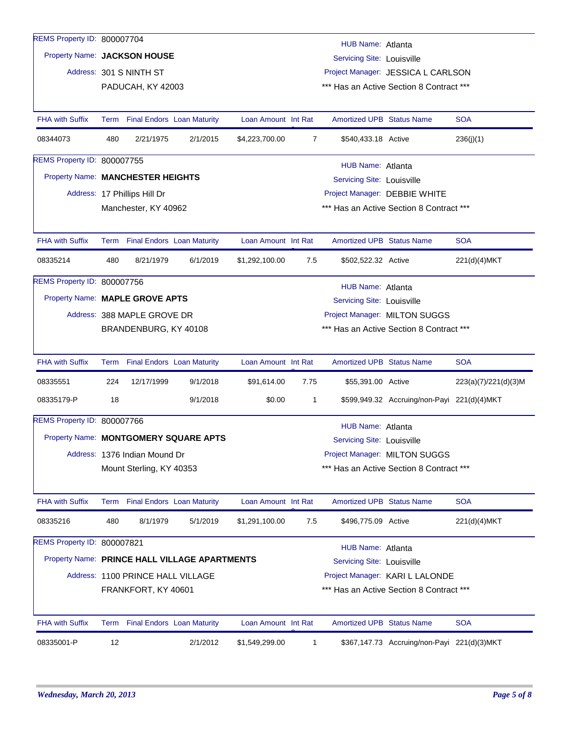| REMS Property ID: 800007704       |                                                                                 |                                   |                                               |                     |                |                                   |                                             |                      |  |  |
|-----------------------------------|---------------------------------------------------------------------------------|-----------------------------------|-----------------------------------------------|---------------------|----------------|-----------------------------------|---------------------------------------------|----------------------|--|--|
|                                   | HUB Name: Atlanta<br>Property Name: JACKSON HOUSE<br>Servicing Site: Louisville |                                   |                                               |                     |                |                                   |                                             |                      |  |  |
|                                   |                                                                                 | Address: 301 S NINTH ST           |                                               |                     |                |                                   | Project Manager: JESSICA L CARLSON          |                      |  |  |
|                                   | PADUCAH, KY 42003<br>*** Has an Active Section 8 Contract ***                   |                                   |                                               |                     |                |                                   |                                             |                      |  |  |
| <b>FHA with Suffix</b>            |                                                                                 | Term Final Endors Loan Maturity   |                                               | Loan Amount Int Rat |                | <b>Amortized UPB Status Name</b>  |                                             | <b>SOA</b>           |  |  |
| 08344073                          | 480                                                                             | 2/21/1975                         | 2/1/2015                                      | \$4,223,700.00      | $\overline{7}$ | \$540,433.18 Active               |                                             | 236(j)(1)            |  |  |
| REMS Property ID: 800007755       |                                                                                 |                                   |                                               |                     |                | HUB Name: Atlanta                 |                                             |                      |  |  |
| Property Name: MANCHESTER HEIGHTS |                                                                                 |                                   |                                               |                     |                | <b>Servicing Site: Louisville</b> |                                             |                      |  |  |
|                                   |                                                                                 | Address: 17 Phillips Hill Dr      |                                               |                     |                |                                   | Project Manager: DEBBIE WHITE               |                      |  |  |
|                                   |                                                                                 | Manchester, KY 40962              |                                               |                     |                |                                   | *** Has an Active Section 8 Contract ***    |                      |  |  |
| <b>FHA with Suffix</b>            |                                                                                 | Term Final Endors Loan Maturity   |                                               | Loan Amount Int Rat |                | <b>Amortized UPB Status Name</b>  |                                             | <b>SOA</b>           |  |  |
| 08335214                          | 480                                                                             | 8/21/1979                         | 6/1/2019                                      | \$1,292,100.00      | 7.5            | \$502,522.32 Active               |                                             | 221(d)(4)MKT         |  |  |
| REMS Property ID: 800007756       |                                                                                 |                                   |                                               |                     |                | HUB Name: Atlanta                 |                                             |                      |  |  |
| Property Name: MAPLE GROVE APTS   |                                                                                 |                                   |                                               |                     |                | <b>Servicing Site: Louisville</b> |                                             |                      |  |  |
|                                   |                                                                                 | Address: 388 MAPLE GROVE DR       |                                               |                     |                |                                   | Project Manager: MILTON SUGGS               |                      |  |  |
|                                   |                                                                                 | BRANDENBURG, KY 40108             |                                               |                     |                |                                   | *** Has an Active Section 8 Contract ***    |                      |  |  |
| <b>FHA with Suffix</b>            |                                                                                 | Term Final Endors Loan Maturity   |                                               | Loan Amount Int Rat |                | <b>Amortized UPB Status Name</b>  |                                             | <b>SOA</b>           |  |  |
| 08335551                          | 224                                                                             | 12/17/1999                        | 9/1/2018                                      | \$91,614.00         | 7.75           | \$55,391.00 Active                |                                             | 223(a)(7)/221(d)(3)M |  |  |
| 08335179-P                        | 18                                                                              |                                   | 9/1/2018                                      | \$0.00              | $\mathbf{1}$   |                                   | \$599,949.32 Accruing/non-Payi 221(d)(4)MKT |                      |  |  |
| REMS Property ID: 800007766       |                                                                                 |                                   |                                               |                     |                | <b>HUB Name: Atlanta</b>          |                                             |                      |  |  |
|                                   |                                                                                 |                                   | Property Name: MONTGOMERY SQUARE APTS         |                     |                | Servicing Site: Louisville        |                                             |                      |  |  |
|                                   |                                                                                 | Address: 1376 Indian Mound Dr     |                                               |                     |                |                                   | Project Manager: MILTON SUGGS               |                      |  |  |
|                                   |                                                                                 | Mount Sterling, KY 40353          |                                               |                     |                |                                   | *** Has an Active Section 8 Contract ***    |                      |  |  |
| <b>FHA with Suffix</b>            |                                                                                 | Term Final Endors Loan Maturity   |                                               | Loan Amount Int Rat |                | <b>Amortized UPB Status Name</b>  |                                             | <b>SOA</b>           |  |  |
| 08335216                          | 480                                                                             | 8/1/1979                          | 5/1/2019                                      | \$1,291,100.00      | 7.5            | \$496,775.09 Active               |                                             | 221(d)(4)MKT         |  |  |
| REMS Property ID: 800007821       |                                                                                 |                                   |                                               |                     |                | HUB Name: Atlanta                 |                                             |                      |  |  |
|                                   |                                                                                 |                                   | Property Name: PRINCE HALL VILLAGE APARTMENTS |                     |                | <b>Servicing Site: Louisville</b> |                                             |                      |  |  |
|                                   |                                                                                 | Address: 1100 PRINCE HALL VILLAGE |                                               |                     |                |                                   | Project Manager: KARI L LALONDE             |                      |  |  |
|                                   |                                                                                 | FRANKFORT, KY 40601               |                                               |                     |                |                                   | *** Has an Active Section 8 Contract ***    |                      |  |  |
| <b>FHA with Suffix</b>            |                                                                                 | Term Final Endors Loan Maturity   |                                               | Loan Amount Int Rat |                | <b>Amortized UPB Status Name</b>  |                                             | <b>SOA</b>           |  |  |
| 08335001-P                        | 12                                                                              |                                   | 2/1/2012                                      | \$1,549,299.00      | $\mathbf 1$    |                                   | \$367,147.73 Accruing/non-Payi 221(d)(3)MKT |                      |  |  |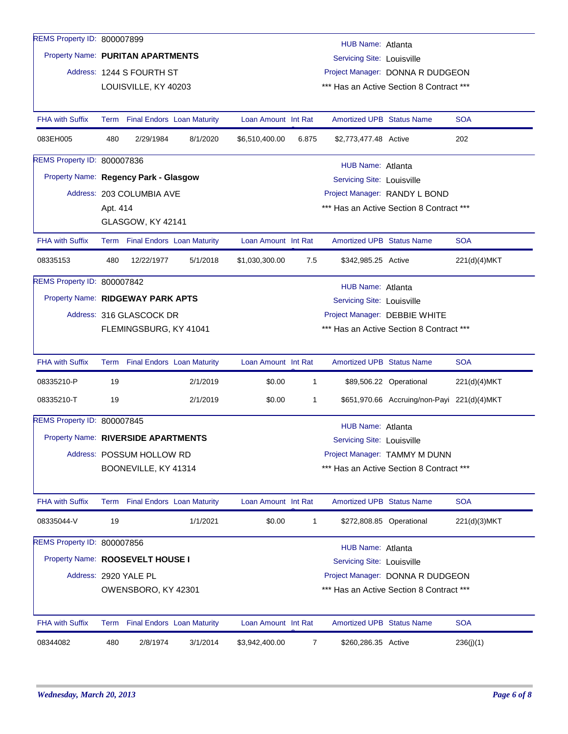| REMS Property ID: 800007899           |                                                                  |                           |                                 |                     |                                  |                                   |                                             |              |  |  |  |  |
|---------------------------------------|------------------------------------------------------------------|---------------------------|---------------------------------|---------------------|----------------------------------|-----------------------------------|---------------------------------------------|--------------|--|--|--|--|
|                                       | HUB Name: Atlanta                                                |                           |                                 |                     |                                  |                                   |                                             |              |  |  |  |  |
|                                       | Property Name: PURITAN APARTMENTS<br>Servicing Site: Louisville  |                           |                                 |                     |                                  |                                   |                                             |              |  |  |  |  |
|                                       |                                                                  | Address: 1244 S FOURTH ST |                                 |                     | Project Manager: DONNA R DUDGEON |                                   |                                             |              |  |  |  |  |
|                                       | *** Has an Active Section 8 Contract ***<br>LOUISVILLE, KY 40203 |                           |                                 |                     |                                  |                                   |                                             |              |  |  |  |  |
|                                       |                                                                  |                           |                                 |                     |                                  |                                   |                                             |              |  |  |  |  |
| <b>FHA with Suffix</b>                |                                                                  |                           | Term Final Endors Loan Maturity | Loan Amount Int Rat |                                  | <b>Amortized UPB Status Name</b>  |                                             | <b>SOA</b>   |  |  |  |  |
| 083EH005                              | 480                                                              | 2/29/1984                 | 8/1/2020                        | \$6,510,400.00      | 6.875                            | \$2,773,477.48 Active             |                                             | 202          |  |  |  |  |
| REMS Property ID: 800007836           |                                                                  |                           |                                 |                     |                                  | HUB Name: Atlanta                 |                                             |              |  |  |  |  |
| Property Name: Regency Park - Glasgow |                                                                  |                           |                                 |                     |                                  | <b>Servicing Site: Louisville</b> |                                             |              |  |  |  |  |
|                                       |                                                                  | Address: 203 COLUMBIA AVE |                                 |                     |                                  |                                   | Project Manager: RANDY L BOND               |              |  |  |  |  |
|                                       | Apt. 414                                                         |                           |                                 |                     |                                  |                                   | *** Has an Active Section 8 Contract ***    |              |  |  |  |  |
|                                       |                                                                  | GLASGOW, KY 42141         |                                 |                     |                                  |                                   |                                             |              |  |  |  |  |
| <b>FHA with Suffix</b>                |                                                                  |                           | Term Final Endors Loan Maturity | Loan Amount Int Rat |                                  | <b>Amortized UPB Status Name</b>  |                                             | <b>SOA</b>   |  |  |  |  |
| 08335153                              | 480                                                              | 12/22/1977                | 5/1/2018                        | \$1,030,300.00      | 7.5                              | \$342,985.25 Active               |                                             | 221(d)(4)MKT |  |  |  |  |
| REMS Property ID: 800007842           |                                                                  |                           |                                 |                     |                                  | HUB Name: Atlanta                 |                                             |              |  |  |  |  |
| Property Name: RIDGEWAY PARK APTS     |                                                                  |                           |                                 |                     |                                  | <b>Servicing Site: Louisville</b> |                                             |              |  |  |  |  |
|                                       |                                                                  | Address: 316 GLASCOCK DR  |                                 |                     |                                  |                                   | Project Manager: DEBBIE WHITE               |              |  |  |  |  |
|                                       |                                                                  | FLEMINGSBURG, KY 41041    |                                 |                     |                                  |                                   | *** Has an Active Section 8 Contract ***    |              |  |  |  |  |
|                                       |                                                                  |                           |                                 |                     |                                  |                                   |                                             |              |  |  |  |  |
| <b>FHA with Suffix</b>                |                                                                  |                           | Term Final Endors Loan Maturity | Loan Amount Int Rat |                                  | <b>Amortized UPB Status Name</b>  |                                             | <b>SOA</b>   |  |  |  |  |
| 08335210-P                            | 19                                                               |                           | 2/1/2019                        | \$0.00              | 1                                |                                   | \$89,506.22 Operational                     | 221(d)(4)MKT |  |  |  |  |
| 08335210-T                            | 19                                                               |                           | 2/1/2019                        | \$0.00              | 1                                |                                   | \$651,970.66 Accruing/non-Payi 221(d)(4)MKT |              |  |  |  |  |
| REMS Property ID: 800007845           |                                                                  |                           |                                 |                     |                                  | HUB Name: Atlanta                 |                                             |              |  |  |  |  |
| Property Name: RIVERSIDE APARTMENTS   |                                                                  |                           |                                 |                     |                                  | Servicing Site: Louisville        |                                             |              |  |  |  |  |
|                                       |                                                                  | Address: POSSUM HOLLOW RD |                                 |                     |                                  |                                   | Project Manager: TAMMY M DUNN               |              |  |  |  |  |
|                                       |                                                                  | BOONEVILLE, KY 41314      |                                 |                     |                                  |                                   | *** Has an Active Section 8 Contract ***    |              |  |  |  |  |
|                                       |                                                                  |                           |                                 |                     |                                  |                                   |                                             |              |  |  |  |  |
| <b>FHA with Suffix</b>                |                                                                  |                           | Term Final Endors Loan Maturity | Loan Amount Int Rat |                                  | <b>Amortized UPB Status Name</b>  |                                             | <b>SOA</b>   |  |  |  |  |
| 08335044-V                            | 19                                                               |                           | 1/1/2021                        | \$0.00              | $\mathbf{1}$                     |                                   | \$272,808.85 Operational                    | 221(d)(3)MKT |  |  |  |  |
| REMS Property ID: 800007856           |                                                                  |                           |                                 |                     |                                  | HUB Name: Atlanta                 |                                             |              |  |  |  |  |
| Property Name: ROOSEVELT HOUSE I      |                                                                  |                           |                                 |                     |                                  | <b>Servicing Site: Louisville</b> |                                             |              |  |  |  |  |
|                                       |                                                                  | Address: 2920 YALE PL     |                                 |                     |                                  |                                   | Project Manager: DONNA R DUDGEON            |              |  |  |  |  |
|                                       |                                                                  | OWENSBORO, KY 42301       |                                 |                     |                                  |                                   | *** Has an Active Section 8 Contract ***    |              |  |  |  |  |
|                                       |                                                                  |                           |                                 |                     |                                  |                                   |                                             |              |  |  |  |  |
| <b>FHA with Suffix</b>                |                                                                  |                           | Term Final Endors Loan Maturity | Loan Amount Int Rat |                                  | <b>Amortized UPB Status Name</b>  |                                             | <b>SOA</b>   |  |  |  |  |
| 08344082                              | 480                                                              | 2/8/1974                  | 3/1/2014                        | \$3,942,400.00      | 7                                | \$260,286.35 Active               |                                             | 236(j)(1)    |  |  |  |  |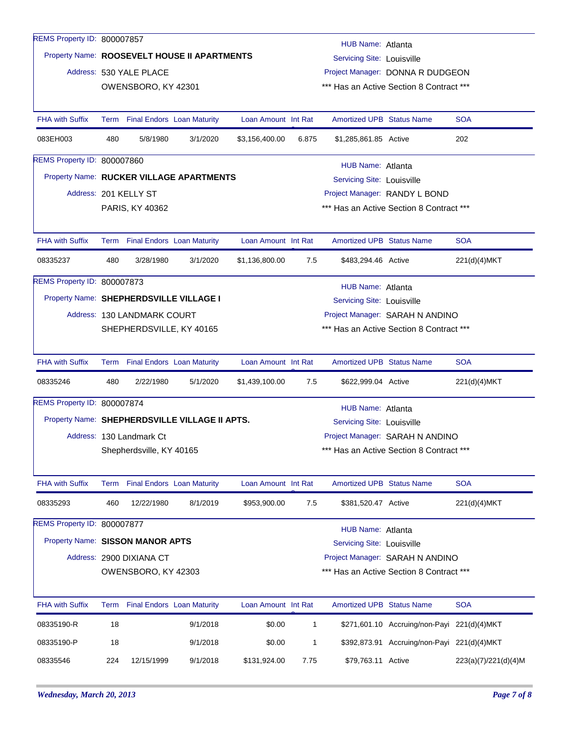| REMS Property ID: 800007857                    |                          |                             |                                 |                     |                   |                                                                              |                                             |              |  |  |
|------------------------------------------------|--------------------------|-----------------------------|---------------------------------|---------------------|-------------------|------------------------------------------------------------------------------|---------------------------------------------|--------------|--|--|
| Property Name: ROOSEVELT HOUSE II APARTMENTS   |                          |                             |                                 |                     | HUB Name: Atlanta |                                                                              |                                             |              |  |  |
|                                                |                          |                             |                                 |                     |                   | Servicing Site: Louisville                                                   |                                             |              |  |  |
|                                                |                          | Address: 530 YALE PLACE     |                                 |                     |                   | Project Manager: DONNA R DUDGEON<br>*** Has an Active Section 8 Contract *** |                                             |              |  |  |
|                                                |                          | OWENSBORO, KY 42301         |                                 |                     |                   |                                                                              |                                             |              |  |  |
| <b>FHA with Suffix</b>                         |                          |                             | Term Final Endors Loan Maturity | Loan Amount Int Rat |                   | <b>Amortized UPB Status Name</b>                                             |                                             | <b>SOA</b>   |  |  |
| 083EH003                                       | 480                      | 5/8/1980                    | 3/1/2020                        | \$3,156,400.00      | 6.875             | \$1,285,861.85 Active                                                        |                                             | 202          |  |  |
| REMS Property ID: 800007860                    |                          |                             |                                 |                     |                   | HUB Name: Atlanta                                                            |                                             |              |  |  |
| Property Name: RUCKER VILLAGE APARTMENTS       |                          |                             |                                 |                     |                   | <b>Servicing Site: Louisville</b>                                            |                                             |              |  |  |
|                                                |                          | Address: 201 KELLY ST       |                                 |                     |                   |                                                                              | Project Manager: RANDY L BOND               |              |  |  |
|                                                |                          | PARIS, KY 40362             |                                 |                     |                   |                                                                              | *** Has an Active Section 8 Contract ***    |              |  |  |
|                                                |                          |                             |                                 |                     |                   |                                                                              |                                             |              |  |  |
| <b>FHA with Suffix</b>                         |                          |                             | Term Final Endors Loan Maturity | Loan Amount Int Rat |                   | <b>Amortized UPB Status Name</b>                                             |                                             | <b>SOA</b>   |  |  |
| 08335237                                       | 480                      | 3/28/1980                   | 3/1/2020                        | \$1,136,800.00      | 7.5               | \$483,294.46 Active                                                          |                                             | 221(d)(4)MKT |  |  |
| REMS Property ID: 800007873                    |                          |                             |                                 |                     |                   | HUB Name: Atlanta                                                            |                                             |              |  |  |
| Property Name: SHEPHERDSVILLE VILLAGE I        |                          |                             |                                 |                     |                   | <b>Servicing Site: Louisville</b>                                            |                                             |              |  |  |
|                                                |                          | Address: 130 LANDMARK COURT |                                 |                     |                   |                                                                              | Project Manager: SARAH N ANDINO             |              |  |  |
|                                                | SHEPHERDSVILLE, KY 40165 |                             |                                 |                     |                   | *** Has an Active Section 8 Contract ***                                     |                                             |              |  |  |
|                                                |                          |                             |                                 |                     |                   |                                                                              |                                             |              |  |  |
|                                                |                          |                             | Term Final Endors Loan Maturity | Loan Amount Int Rat |                   | <b>Amortized UPB Status Name</b>                                             |                                             | <b>SOA</b>   |  |  |
| <b>FHA with Suffix</b>                         |                          |                             |                                 |                     |                   |                                                                              |                                             |              |  |  |
| 08335246                                       | 480                      | 2/22/1980                   | 5/1/2020                        | \$1,439,100.00      | 7.5               | \$622,999.04 Active                                                          |                                             | 221(d)(4)MKT |  |  |
| REMS Property ID: 800007874                    |                          |                             |                                 |                     |                   | HUB Name: Atlanta                                                            |                                             |              |  |  |
| Property Name: SHEPHERDSVILLE VILLAGE II APTS. |                          |                             |                                 |                     |                   | Servicing Site: Louisville                                                   |                                             |              |  |  |
|                                                |                          | Address: 130 Landmark Ct    |                                 |                     |                   |                                                                              | Project Manager: SARAH N ANDINO             |              |  |  |
|                                                |                          | Shepherdsville, KY 40165    |                                 |                     |                   |                                                                              | *** Has an Active Section 8 Contract ***    |              |  |  |
|                                                |                          |                             |                                 |                     |                   |                                                                              |                                             |              |  |  |
| FHA with Suffix                                |                          |                             | Term Final Endors Loan Maturity | Loan Amount Int Rat |                   | <b>Amortized UPB Status Name</b>                                             |                                             | <b>SOA</b>   |  |  |
| 08335293                                       | 460                      | 12/22/1980                  | 8/1/2019                        | \$953,900.00        | 7.5               | \$381,520.47 Active                                                          |                                             | 221(d)(4)MKT |  |  |
| REMS Property ID: 800007877                    |                          |                             |                                 |                     |                   |                                                                              |                                             |              |  |  |
| Property Name: SISSON MANOR APTS               |                          |                             |                                 |                     |                   | <b>HUB Name: Atlanta</b>                                                     |                                             |              |  |  |
|                                                |                          | Address: 2900 DIXIANA CT    |                                 |                     |                   | Servicing Site: Louisville                                                   |                                             |              |  |  |
|                                                |                          |                             |                                 |                     |                   |                                                                              | Project Manager: SARAH N ANDINO             |              |  |  |
|                                                |                          | OWENSBORO, KY 42303         |                                 |                     |                   |                                                                              | *** Has an Active Section 8 Contract ***    |              |  |  |
| <b>FHA with Suffix</b>                         |                          |                             | Term Final Endors Loan Maturity | Loan Amount Int Rat |                   | Amortized UPB Status Name                                                    |                                             | <b>SOA</b>   |  |  |
| 08335190-R                                     | 18                       |                             | 9/1/2018                        | \$0.00              | $\mathbf{1}$      |                                                                              | \$271,601.10 Accruing/non-Payi 221(d)(4)MKT |              |  |  |
| 08335190-P                                     | 18                       |                             | 9/1/2018                        | \$0.00              | 1                 |                                                                              | \$392,873.91 Accruing/non-Payi 221(d)(4)MKT |              |  |  |